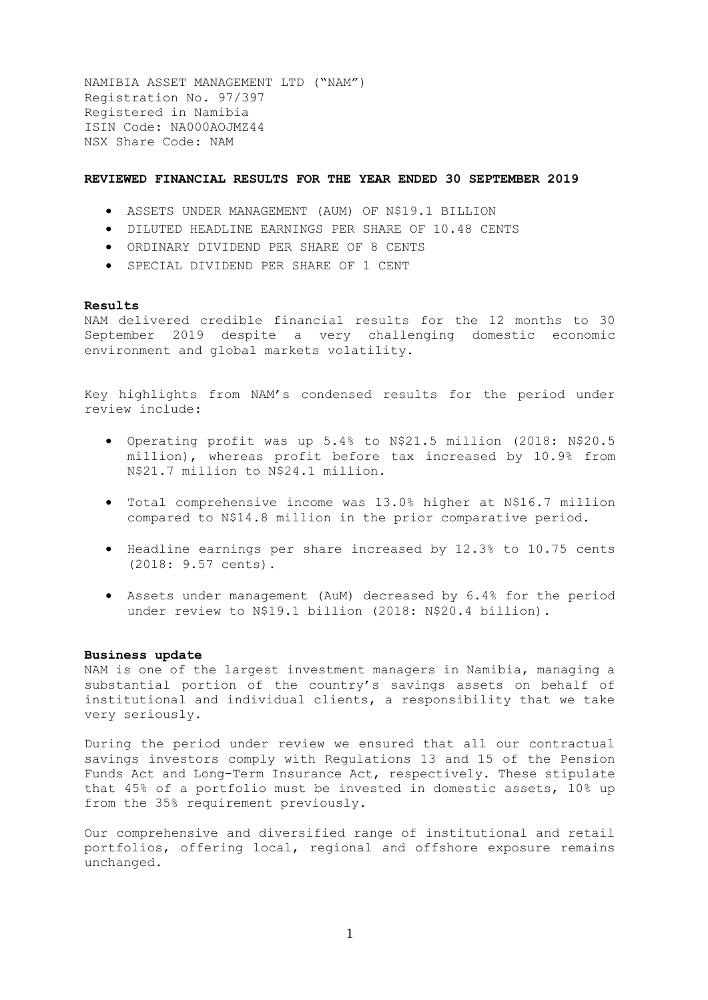NAMIBIA ASSET MANAGEMENT LTD ("NAM") Registration No. 97/397 Registered in Namibia ISIN Code: NA000AOJMZ44 NSX Share Code: NAM

## **REVIEWED FINANCIAL RESULTS FOR THE YEAR ENDED 30 SEPTEMBER 2019**

- ASSETS UNDER MANAGEMENT (AUM) OF N\$19.1 BILLION
- DILUTED HEADLINE EARNINGS PER SHARE OF 10.48 CENTS
- ORDINARY DIVIDEND PER SHARE OF 8 CENTS
- SPECIAL DIVIDEND PER SHARE OF 1 CENT

## **Results**

NAM delivered credible financial results for the 12 months to 30 September 2019 despite a very challenging domestic economic environment and global markets volatility.

Key highlights from NAM's condensed results for the period under review include:

- Operating profit was up 5.4% to N\$21.5 million (2018: N\$20.5 million), whereas profit before tax increased by 10.9% from N\$21.7 million to N\$24.1 million.
- Total comprehensive income was 13.0% higher at N\$16.7 million compared to N\$14.8 million in the prior comparative period.
- Headline earnings per share increased by 12.3% to 10.75 cents (2018: 9.57 cents).
- Assets under management (AuM) decreased by 6.4% for the period under review to N\$19.1 billion (2018: N\$20.4 billion).

## **Business update**

NAM is one of the largest investment managers in Namibia, managing a substantial portion of the country's savings assets on behalf of institutional and individual clients, a responsibility that we take very seriously.

During the period under review we ensured that all our contractual savings investors comply with Regulations 13 and 15 of the Pension Funds Act and Long-Term Insurance Act, respectively. These stipulate that 45% of a portfolio must be invested in domestic assets, 10% up from the 35% requirement previously.

Our comprehensive and diversified range of institutional and retail portfolios, offering local, regional and offshore exposure remains unchanged.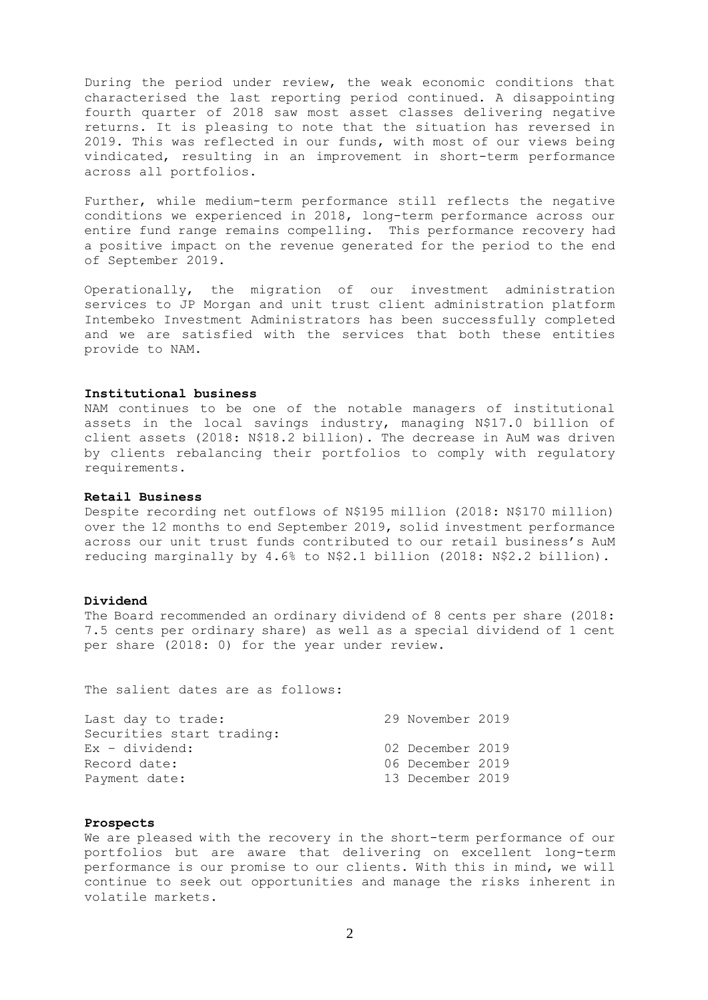During the period under review, the weak economic conditions that characterised the last reporting period continued. A disappointing fourth quarter of 2018 saw most asset classes delivering negative returns. It is pleasing to note that the situation has reversed in 2019. This was reflected in our funds, with most of our views being vindicated, resulting in an improvement in short-term performance across all portfolios.

Further, while medium-term performance still reflects the negative conditions we experienced in 2018, long-term performance across our entire fund range remains compelling. This performance recovery had a positive impact on the revenue generated for the period to the end of September 2019.

Operationally, the migration of our investment administration services to JP Morgan and unit trust client administration platform Intembeko Investment Administrators has been successfully completed and we are satisfied with the services that both these entities provide to NAM.

## **Institutional business**

NAM continues to be one of the notable managers of institutional assets in the local savings industry, managing N\$17.0 billion of client assets (2018: N\$18.2 billion). The decrease in AuM was driven by clients rebalancing their portfolios to comply with regulatory requirements.

#### **Retail Business**

Despite recording net outflows of N\$195 million (2018: N\$170 million) over the 12 months to end September 2019, solid investment performance across our unit trust funds contributed to our retail business's AuM reducing marginally by 4.6% to N\$2.1 billion (2018: N\$2.2 billion).

## **Dividend**

The Board recommended an ordinary dividend of 8 cents per share (2018: 7.5 cents per ordinary share) as well as a special dividend of 1 cent per share (2018: 0) for the year under review.

The salient dates are as follows:

|  | 29 November 2019<br>02 December 2019<br>06 December 2019<br>13 December 2019 |
|--|------------------------------------------------------------------------------|

## **Prospects**

We are pleased with the recovery in the short-term performance of our portfolios but are aware that delivering on excellent long-term performance is our promise to our clients. With this in mind, we will continue to seek out opportunities and manage the risks inherent in volatile markets.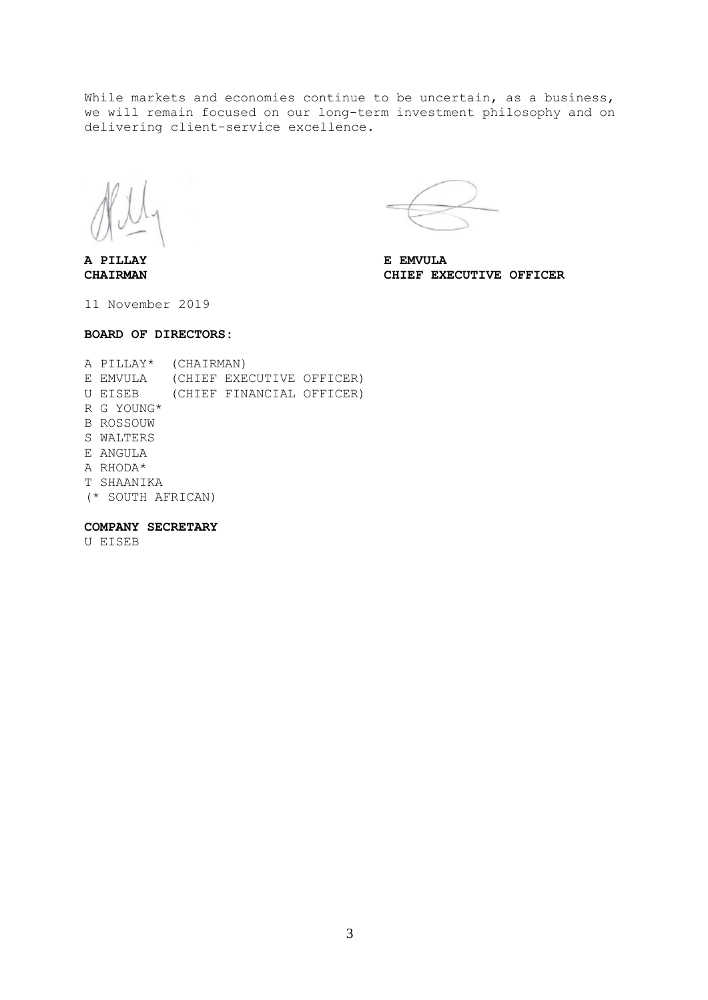While markets and economies continue to be uncertain, as a business, we will remain focused on our long-term investment philosophy and on delivering client-service excellence.

**A PILLAY E EMVULA**

**CHAIRMAN CHIEF EXECUTIVE OFFICER**

11 November 2019

## **BOARD OF DIRECTORS:**

A PILLAY\* (CHAIRMAN) E EMVULA (CHIEF EXECUTIVE OFFICER) U EISEB (CHIEF FINANCIAL OFFICER) R G YOUNG\* B ROSSOUW S WALTERS E ANGULA A RHODA\* T SHAANIKA (\* SOUTH AFRICAN)

# **COMPANY SECRETARY**

U EISEB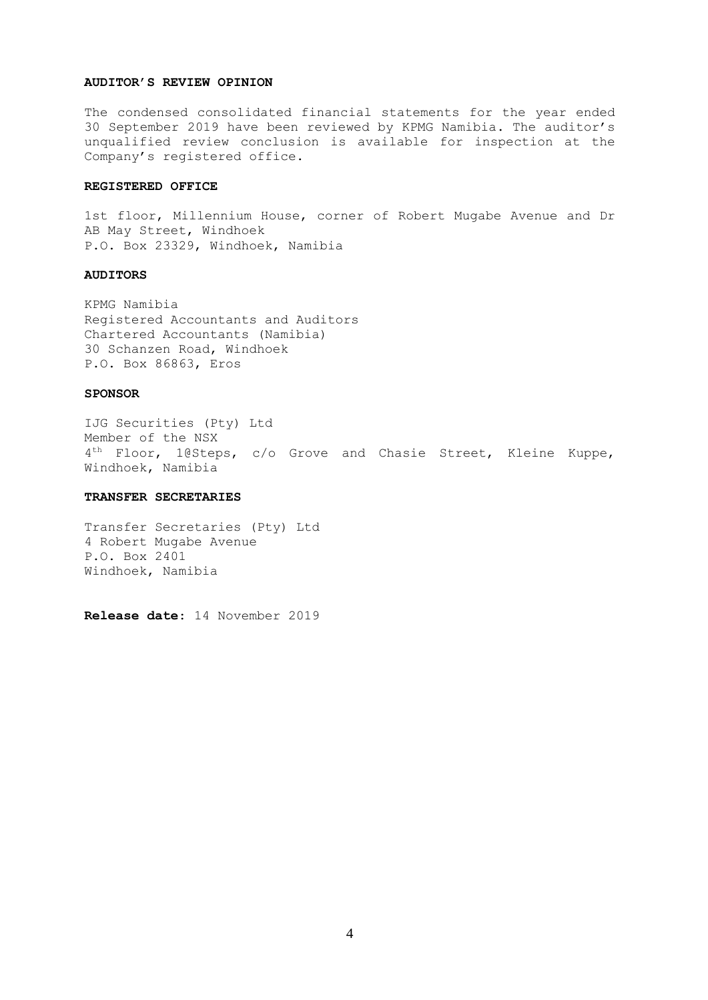#### **AUDITOR'S REVIEW OPINION**

The condensed consolidated financial statements for the year ended 30 September 2019 have been reviewed by KPMG Namibia. The auditor's unqualified review conclusion is available for inspection at the Company's registered office.

#### **REGISTERED OFFICE**

1st floor, Millennium House, corner of Robert Mugabe Avenue and Dr AB May Street, Windhoek P.O. Box 23329, Windhoek, Namibia

## **AUDITORS**

KPMG Namibia Registered Accountants and Auditors Chartered Accountants (Namibia) 30 Schanzen Road, Windhoek P.O. Box 86863, Eros

## **SPONSOR**

IJG Securities (Pty) Ltd Member of the NSX 4<sup>th</sup> Floor, 1@Steps, c/o Grove and Chasie Street, Kleine Kuppe, Windhoek, Namibia

## **TRANSFER SECRETARIES**

Transfer Secretaries (Pty) Ltd 4 Robert Mugabe Avenue P.O. Box 2401 Windhoek, Namibia

**Release date**: 14 November 2019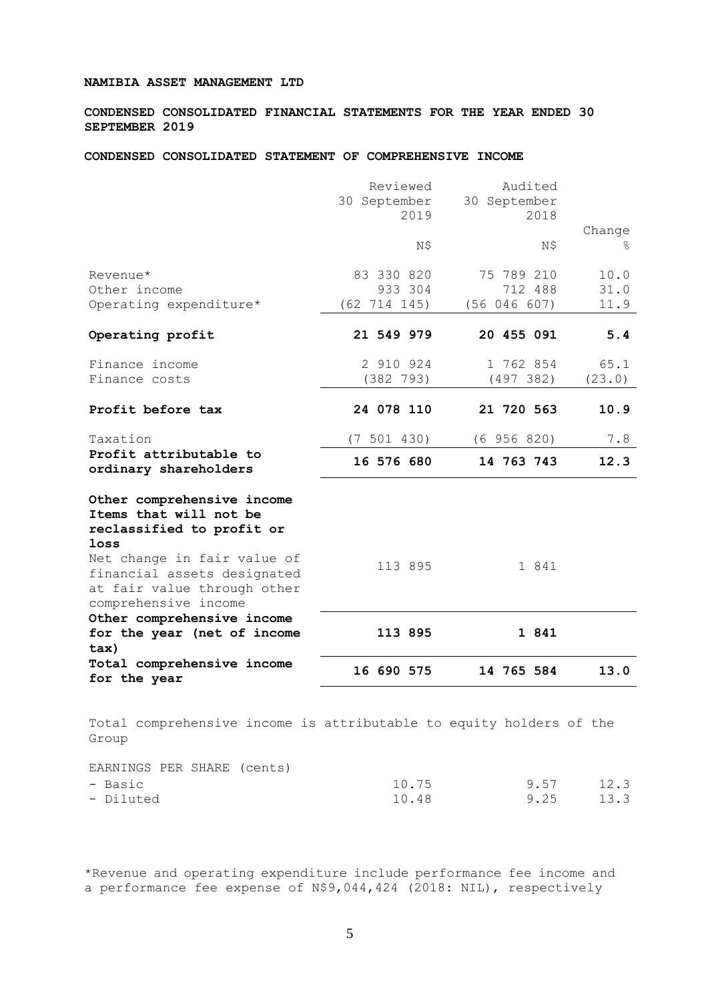## **NAMIBIA ASSET MANAGEMENT LTD**

**CONDENSED CONSOLIDATED FINANCIAL STATEMENTS FOR THE YEAR ENDED 30 SEPTEMBER 2019**

## **CONDENSED CONSOLIDATED STATEMENT OF COMPREHENSIVE INCOME**

|                                                                                                                   | Reviewed<br>30 September<br>2019      | Audited<br>30 September<br>2018       | Change               |
|-------------------------------------------------------------------------------------------------------------------|---------------------------------------|---------------------------------------|----------------------|
|                                                                                                                   | N\$                                   | N\$                                   | ⊱                    |
| Revenue*<br>Other income<br>Operating expenditure*                                                                | 83 330 820<br>933 304<br>(62 714 145) | 75 789 210<br>712 488<br>(56 046 607) | 10.0<br>31.0<br>11.9 |
| Operating profit                                                                                                  | 21 549 979                            | 20 455 091                            | 5.4                  |
| Finance income<br>Finance costs                                                                                   | 2 910 924<br>(382 793)                | 1 762 854<br>(497 382)                | 65.1<br>(23.0)       |
| Profit before tax                                                                                                 | 24 078 110                            | 21 720 563                            | 10.9                 |
| Taxation                                                                                                          | (7 501 430)                           | (6956820)                             | 7.8                  |
| Profit attributable to<br>ordinary shareholders                                                                   | 16 576 680                            | 14 763 743                            | 12.3                 |
| Other comprehensive income<br>Items that will not be<br>reclassified to profit or<br>loss                         |                                       |                                       |                      |
| Net change in fair value of<br>financial assets designated<br>at fair value through other<br>comprehensive income | 113 895                               | 1 841                                 |                      |
| Other comprehensive income<br>for the year (net of income<br>tax)                                                 | 113 895                               | 1 841                                 |                      |
| Total comprehensive income<br>for the year                                                                        | 16 690 575                            | 14 765 584                            | 13.0                 |
| Total comprehensive income is attributable to equity holders of the<br>Group                                      |                                       |                                       |                      |

| EARNINGS PER SHARE (cents) |  |       |      |      |
|----------------------------|--|-------|------|------|
| - Basic                    |  | 10.75 | 9.57 | 12.3 |
| - Diluted                  |  | 10.48 | 9.25 | 13.3 |

\*Revenue and operating expenditure include performance fee income and a performance fee expense of N\$9,044,424 (2018: NIL), respectively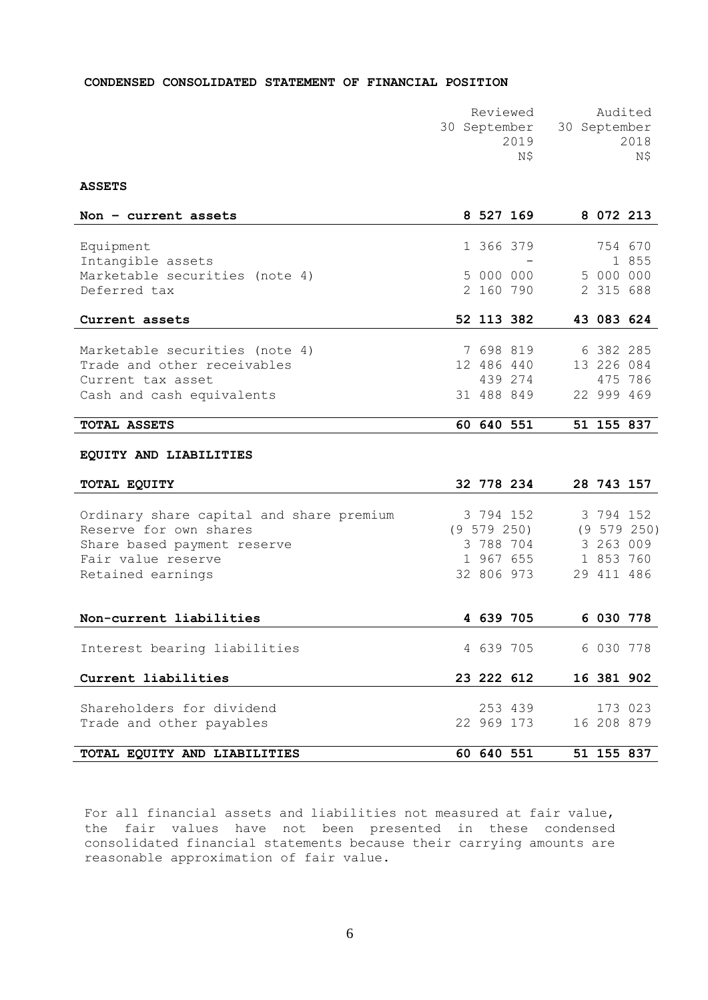## **CONDENSED CONSOLIDATED STATEMENT OF FINANCIAL POSITION**

| Reviewed | Audited                   |
|----------|---------------------------|
|          | 30 September 30 September |
| 2019     | 2018                      |
| ΝS       | N\$                       |
|          |                           |

## **ASSETS**

| Non $-$ current assets         | 8 527 169  |  | 8 0 7 2 2 1 3 |       |
|--------------------------------|------------|--|---------------|-------|
|                                |            |  |               |       |
| Equipment                      | 1 366 379  |  | 754 670       |       |
| Intangible assets              |            |  |               | 1 855 |
| Marketable securities (note 4) | 5 000 000  |  | 5 000 000     |       |
| Deferred tax                   | 2 160 790  |  | 2 315 688     |       |
|                                |            |  |               |       |
| Current assets                 | 52 113 382 |  | 43 083 624    |       |
|                                |            |  |               |       |
| Marketable securities (note 4) | 7 698 819  |  | 6 382 285     |       |
| Trade and other receivables    | 12 486 440 |  | 13 226 084    |       |
| Current tax asset              | 439 274    |  | 475 786       |       |
| Cash and cash equivalents      | 31 488 849 |  | 22 999 469    |       |
|                                |            |  |               |       |
| TOTAL ASSETS                   | 60 640 551 |  | 51 155 837    |       |

## **EQUITY AND LIABILITIES**

| TOTAL EQUITY                             | 32 778 234      | 28 743 157  |
|------------------------------------------|-----------------|-------------|
|                                          |                 |             |
| Ordinary share capital and share premium | 3 794 152       | 3 794 152   |
| Reserve for own shares                   | $(9\;579\;250)$ | (9 579 250) |
| Share based payment reserve              | 3 788 704       | 3 263 009   |
| Fair value reserve                       | 1 967 655       | 1 853 760   |
| Retained earnings                        | 32 806 973      | 29 411 486  |
|                                          |                 |             |
|                                          |                 |             |
| Non-current liabilities                  | 4 639 705       | 6 030 778   |
|                                          |                 |             |
| Interest bearing liabilities             | 4 639 705       | 6 030 778   |
|                                          |                 |             |
| Current liabilities                      | 23 222 612      | 16 381 902  |
|                                          |                 |             |
| Shareholders for dividend                | 253 439         | 173 023     |
| Trade and other payables                 | 22 969 173      | 16 208 879  |
|                                          |                 |             |
| TOTAL EQUITY AND LIABILITIES             | 60 640 551      | 51 155 837  |

For all financial assets and liabilities not measured at fair value, the fair values have not been presented in these condensed consolidated financial statements because their carrying amounts are reasonable approximation of fair value.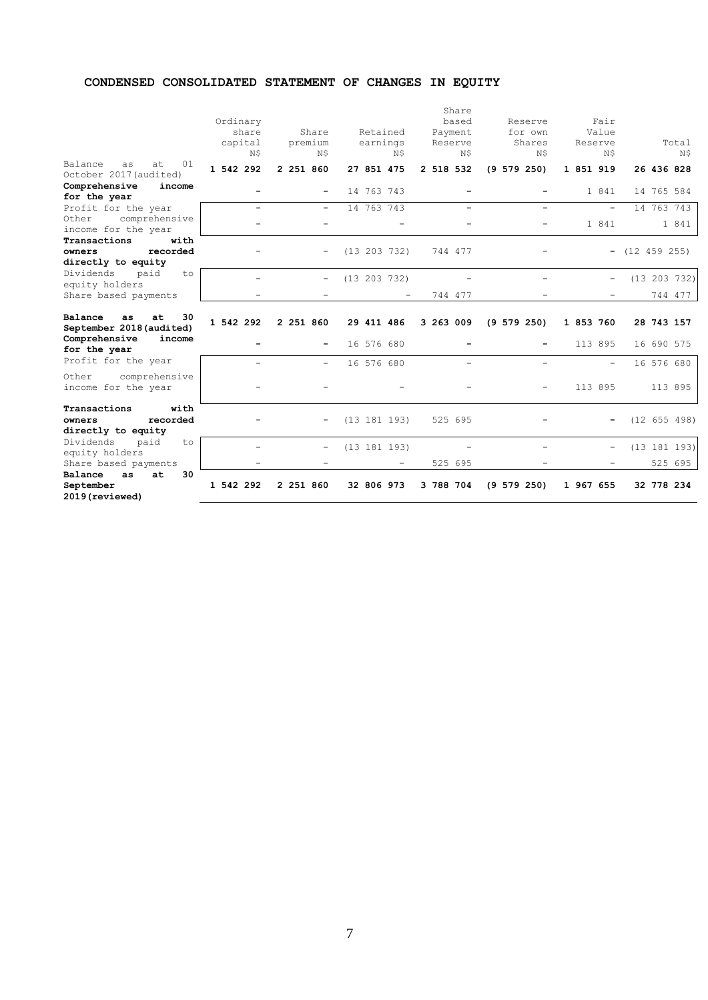# **CONDENSED CONSOLIDATED STATEMENT OF CHANGES IN EQUITY**

|                                                                                    | Ordinary<br>share<br>capital<br>Ν\$ | Share<br>premium<br>N\$  | Retained<br>earnings<br>N\$ | Share<br>based<br>Payment<br>Reserve<br>Ν\$ | Reserve<br>for own<br>Shares<br>N\$ | Fair<br>Value<br>Reserve<br>N\$ | Total<br>N\$            |
|------------------------------------------------------------------------------------|-------------------------------------|--------------------------|-----------------------------|---------------------------------------------|-------------------------------------|---------------------------------|-------------------------|
| Balance<br>01<br>as<br>at<br>October 2017 (audited)                                | 1 542 292                           | 2 251 860                | 27 851 475                  | 2 518 532                                   | (9 579 250)                         | 1 851 919                       | 26 436 828              |
| Comprehensive<br>income<br>for the year                                            |                                     |                          | 14 763 743                  |                                             |                                     | 1 841                           | 14 765 584              |
| Profit for the year<br>comprehensive<br>Other<br>income for the year               |                                     |                          | 14 763 743                  |                                             |                                     | ÷<br>1 841                      | 14 763 743<br>1 841     |
| Transactions<br>with<br>recorded<br>owners<br>directly to equity                   |                                     |                          | (13 203 732)                | 744 477                                     |                                     |                                 | $-$ (12 459 255)        |
| Dividends<br>paid<br>to<br>equity holders<br>Share based payments                  |                                     |                          | (13 203 732)                | 744 477                                     |                                     |                                 | (13 203 732)<br>744 477 |
| Balance<br>30<br>at<br>as<br>September 2018 (audited)                              | 1 542 292                           | 2 251 860                | 29 411 486                  | 3 263 009                                   | (9 579 250)                         | 1 853 760                       | 28 743 157              |
| Comprehensive<br>income<br>for the year                                            |                                     | -                        | 16 576 680                  |                                             |                                     | 113 895                         | 16 690 575              |
| Profit for the year                                                                |                                     | $\overline{\phantom{0}}$ | 16 576 680                  |                                             |                                     |                                 | 16 576 680              |
| Other<br>comprehensive<br>income for the year                                      |                                     |                          |                             |                                             |                                     | 113 895                         | 113 895                 |
| Transactions<br>with<br>recorded<br>owners<br>directly to equity                   |                                     |                          | (13 181 193)                | 525 695                                     |                                     |                                 | (12 655 498)            |
| Dividends<br>paid<br>to<br>equity holders                                          |                                     | $\overline{\phantom{0}}$ | (13 181 193)                |                                             |                                     | ÷,                              | (13 181 193)            |
| Share based payments<br>Balance<br>30<br>at<br>as.<br>September<br>2019 (reviewed) | 1 542 292                           | 2 251 860                | 32 806 973                  | 525 695<br>3 788 704                        | $(9\ 579\ 250)$                     | 1 967 655                       | 525 695<br>32 778 234   |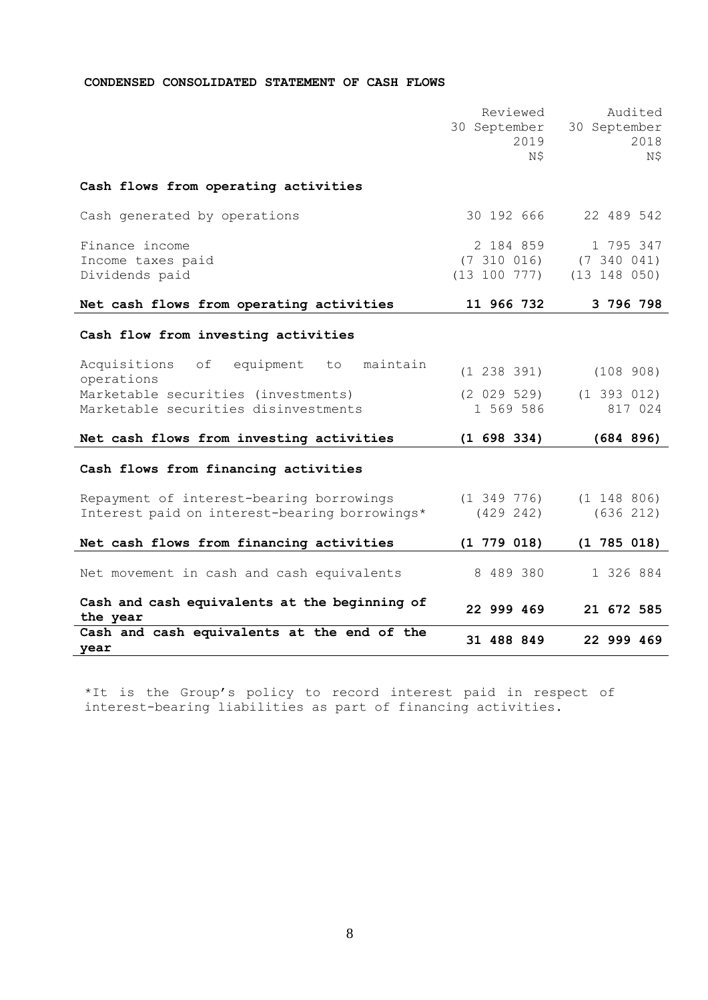## **CONDENSED CONSOLIDATED STATEMENT OF CASH FLOWS**

|                                                                 | Reviewed<br>30 September      | Audited<br>30 September       |
|-----------------------------------------------------------------|-------------------------------|-------------------------------|
|                                                                 | 2019<br>N\$                   | 2018<br>N\$                   |
| Cash flows from operating activities                            |                               |                               |
| Cash generated by operations                                    | 30 192 666                    | 22 489 542                    |
| Finance income                                                  | 2 184 859                     | 1 795 347                     |
| Income taxes paid<br>Dividends paid                             | (7, 310, 016)<br>(13 100 777) | (7, 340, 041)<br>(13 148 050) |
|                                                                 |                               |                               |
| Net cash flows from operating activities                        | 11 966 732                    | 3 796 798                     |
| Cash flow from investing activities                             |                               |                               |
| Acquisitions<br>equipment<br>maintain<br>оf<br>to<br>operations | (1 238 391)                   | (108908)                      |
| Marketable securities (investments)                             | (2 029 529)                   | $(1\ 393\ 012)$               |
| Marketable securities disinvestments                            | 1 569 586                     | 817 024                       |
| Net cash flows from investing activities                        | (1 698 334)                   | (684 896)                     |
| Cash flows from financing activities                            |                               |                               |
| Repayment of interest-bearing borrowings                        | $(1\;349\;776)$               | $(1\ 148\ 806)$               |
| Interest paid on interest-bearing borrowings*                   | (429 242)                     | (636 212)                     |
| Net cash flows from financing activities                        | $(1\ 779\ 018)$               | $(1\ 785\ 018)$               |
| Net movement in cash and cash equivalents                       | 8 489 380                     | 1 326 884                     |
| Cash and cash equivalents at the beginning of<br>the year       | 22 999 469                    | 21 672 585                    |
| Cash and cash equivalents at the end of the                     | 31 488 849                    | 22 999 469                    |
| year                                                            |                               |                               |

\*It is the Group's policy to record interest paid in respect of interest-bearing liabilities as part of financing activities.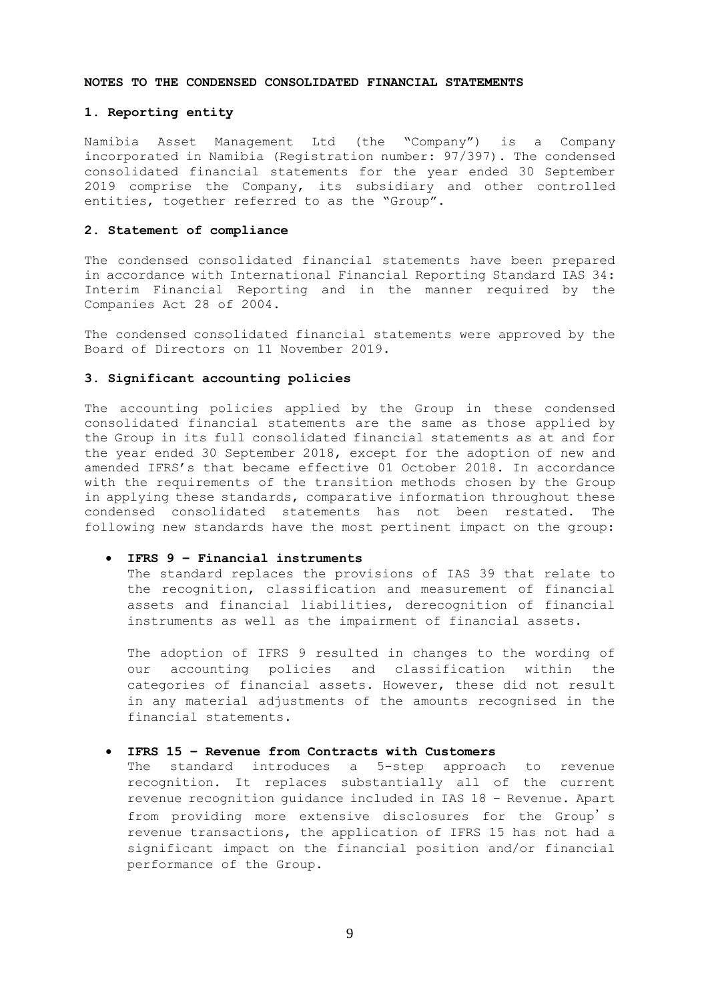#### **NOTES TO THE CONDENSED CONSOLIDATED FINANCIAL STATEMENTS**

## **1. Reporting entity**

Namibia Asset Management Ltd (the "Company") is a Company incorporated in Namibia (Registration number: 97/397). The condensed consolidated financial statements for the year ended 30 September 2019 comprise the Company, its subsidiary and other controlled entities, together referred to as the "Group".

## **2. Statement of compliance**

The condensed consolidated financial statements have been prepared in accordance with International Financial Reporting Standard IAS 34: Interim Financial Reporting and in the manner required by the Companies Act 28 of 2004.

The condensed consolidated financial statements were approved by the Board of Directors on 11 November 2019.

## **3. Significant accounting policies**

The accounting policies applied by the Group in these condensed consolidated financial statements are the same as those applied by the Group in its full consolidated financial statements as at and for the year ended 30 September 2018, except for the adoption of new and amended IFRS's that became effective 01 October 2018. In accordance with the requirements of the transition methods chosen by the Group in applying these standards, comparative information throughout these condensed consolidated statements has not been restated. The following new standards have the most pertinent impact on the group:

### • **IFRS 9 – Financial instruments**

The standard replaces the provisions of IAS 39 that relate to the recognition, classification and measurement of financial assets and financial liabilities, derecognition of financial instruments as well as the impairment of financial assets.

The adoption of IFRS 9 resulted in changes to the wording of our accounting policies and classification within the categories of financial assets. However, these did not result in any material adjustments of the amounts recognised in the financial statements.

## • **IFRS 15 – Revenue from Contracts with Customers**

The standard introduces a 5-step approach to revenue recognition. It replaces substantially all of the current revenue recognition guidance included in IAS 18 – Revenue. Apart from providing more extensive disclosures for the Group's revenue transactions, the application of IFRS 15 has not had a significant impact on the financial position and/or financial performance of the Group.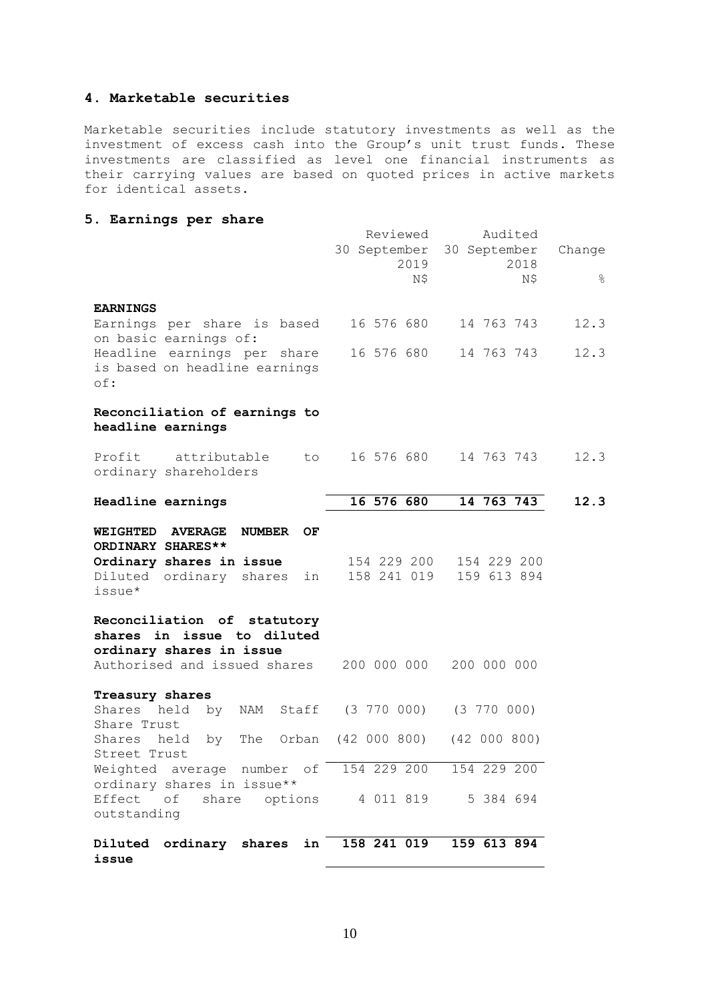# **4. Marketable securities**

Marketable securities include statutory investments as well as the investment of excess cash into the Group's unit trust funds. These investments are classified as level one financial instruments as their carrying values are based on quoted prices in active markets for identical assets.

# **5. Earnings per share**

|                                                                                                                                   | Reviewed<br>2019<br>N\$                | Audited<br>30 September 30 September<br>2018<br>Ν\$ | Change<br>$\frac{6}{5}$ |
|-----------------------------------------------------------------------------------------------------------------------------------|----------------------------------------|-----------------------------------------------------|-------------------------|
| <b>EARNINGS</b>                                                                                                                   |                                        |                                                     |                         |
| Earnings per share is based<br>on basic earnings of:                                                                              | 16 576 680                             | 14 763 743                                          | 12.3                    |
| Headline earnings per share<br>is based on headline earnings<br>$\circ$ f:                                                        | 16 576 680                             | 14 763 743                                          | 12.3                    |
| Reconciliation of earnings to<br>headline earnings                                                                                |                                        |                                                     |                         |
| Profit attributable<br>ordinary shareholders                                                                                      | to 16 576 680                          | 14 763 743                                          | 12.3                    |
| Headline earnings                                                                                                                 | 16 576 680                             | 14 763 743                                          | 12.3                    |
| WEIGHTED AVERAGE<br><b>NUMBER</b><br>OF<br>ORDINARY SHARES**<br>Ordinary shares in issue<br>Diluted ordinary shares in<br>issue*  | 154 229 200 154 229 200<br>158 241 019 | 159 613 894                                         |                         |
| Reconciliation of statutory<br>shares in issue to diluted<br>ordinary shares in issue<br>Authorised and issued shares 200 000 000 |                                        | 200 000 000                                         |                         |
| Treasury shares<br>Shares held by NAM Staff (3 770 000) (3 770 000)<br>Share Trust                                                |                                        |                                                     |                         |
| held by The Orban (42 000 800) (42 000 800)<br>Shares<br>Street Trust                                                             |                                        |                                                     |                         |
| Weighted average number of 154 229 200 154 229 200<br>ordinary shares in issue**                                                  |                                        |                                                     |                         |
| Effect of share options  4 011 819  5 384 694<br>outstanding                                                                      |                                        |                                                     |                         |
| Diluted ordinary shares in 158 241 019<br>issue                                                                                   |                                        | 159 613 894                                         |                         |